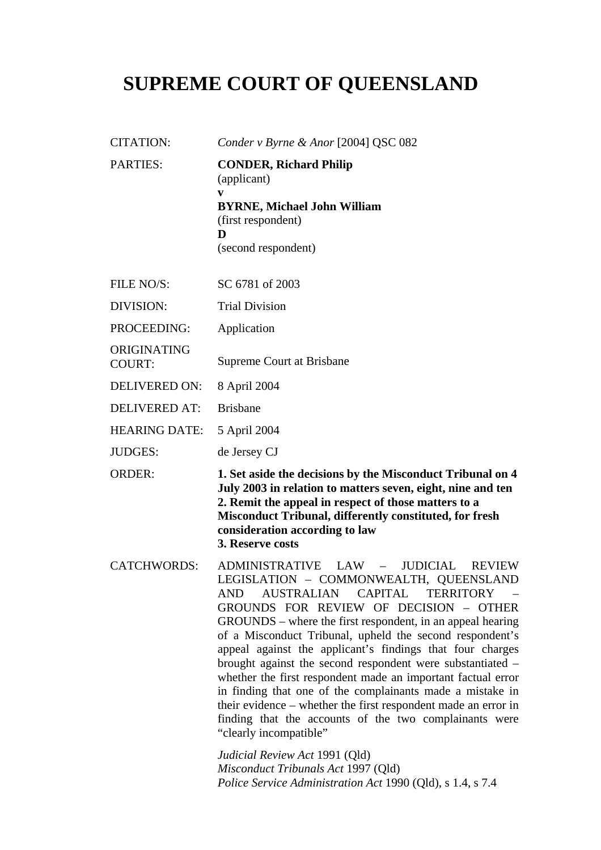# **SUPREME COURT OF QUEENSLAND**

| <b>CITATION:</b>             | Conder v Byrne & Anor [2004] QSC 082                                                                                                                                                                                                                                                                                                                                                                                                                                                                                                                                                                                                                                                                                                                                                                                        |
|------------------------------|-----------------------------------------------------------------------------------------------------------------------------------------------------------------------------------------------------------------------------------------------------------------------------------------------------------------------------------------------------------------------------------------------------------------------------------------------------------------------------------------------------------------------------------------------------------------------------------------------------------------------------------------------------------------------------------------------------------------------------------------------------------------------------------------------------------------------------|
| <b>PARTIES:</b>              | <b>CONDER, Richard Philip</b><br>(applicant)<br>V<br><b>BYRNE, Michael John William</b><br>(first respondent)<br>D<br>(second respondent)                                                                                                                                                                                                                                                                                                                                                                                                                                                                                                                                                                                                                                                                                   |
| FILE NO/S:                   | SC 6781 of 2003                                                                                                                                                                                                                                                                                                                                                                                                                                                                                                                                                                                                                                                                                                                                                                                                             |
| <b>DIVISION:</b>             | <b>Trial Division</b>                                                                                                                                                                                                                                                                                                                                                                                                                                                                                                                                                                                                                                                                                                                                                                                                       |
| PROCEEDING:                  | Application                                                                                                                                                                                                                                                                                                                                                                                                                                                                                                                                                                                                                                                                                                                                                                                                                 |
| ORIGINATING<br><b>COURT:</b> | Supreme Court at Brisbane                                                                                                                                                                                                                                                                                                                                                                                                                                                                                                                                                                                                                                                                                                                                                                                                   |
| <b>DELIVERED ON:</b>         | 8 April 2004                                                                                                                                                                                                                                                                                                                                                                                                                                                                                                                                                                                                                                                                                                                                                                                                                |
| <b>DELIVERED AT:</b>         | <b>Brisbane</b>                                                                                                                                                                                                                                                                                                                                                                                                                                                                                                                                                                                                                                                                                                                                                                                                             |
| <b>HEARING DATE:</b>         | 5 April 2004                                                                                                                                                                                                                                                                                                                                                                                                                                                                                                                                                                                                                                                                                                                                                                                                                |
| <b>JUDGES:</b>               | de Jersey CJ                                                                                                                                                                                                                                                                                                                                                                                                                                                                                                                                                                                                                                                                                                                                                                                                                |
| <b>ORDER:</b>                | 1. Set aside the decisions by the Misconduct Tribunal on 4<br>July 2003 in relation to matters seven, eight, nine and ten<br>2. Remit the appeal in respect of those matters to a<br><b>Misconduct Tribunal, differently constituted, for fresh</b><br>consideration according to law<br>3. Reserve costs                                                                                                                                                                                                                                                                                                                                                                                                                                                                                                                   |
| <b>CATCHWORDS:</b>           | <b>ADMINISTRATIVE</b><br>LAW<br>JUDICIAL<br><b>REVIEW</b><br>$\equiv$<br>LEGISLATION - COMMONWEALTH, QUEENSLAND<br>AUSTRALIAN CAPITAL<br><b>TERRITORY</b><br>AND<br>GROUNDS FOR REVIEW OF DECISION - OTHER<br>GROUNDS – where the first respondent, in an appeal hearing<br>of a Misconduct Tribunal, upheld the second respondent's<br>appeal against the applicant's findings that four charges<br>brought against the second respondent were substantiated –<br>whether the first respondent made an important factual error<br>in finding that one of the complainants made a mistake in<br>their evidence – whether the first respondent made an error in<br>finding that the accounts of the two complainants were<br>"clearly incompatible"<br>Judicial Review Act 1991 (Qld)<br>Misconduct Tribunals Act 1997 (Qld) |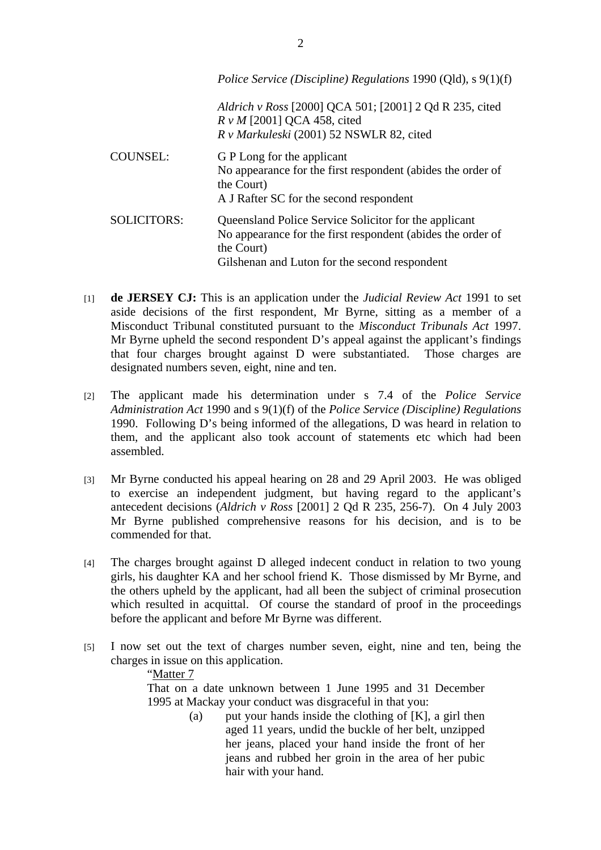|                    | Police Service (Discipline) Regulations 1990 (Qld), s 9(1)(f)                                                                                                                       |
|--------------------|-------------------------------------------------------------------------------------------------------------------------------------------------------------------------------------|
|                    | <i>Aldrich v Ross</i> [2000] QCA 501; [2001] 2 Qd R 235, cited<br>$R v M$ [2001] QCA 458, cited<br>R v Markuleski (2001) 52 NSWLR 82, cited                                         |
| <b>COUNSEL:</b>    | G P Long for the applicant<br>No appearance for the first respondent (abides the order of<br>the Court)<br>A J Rafter SC for the second respondent                                  |
| <b>SOLICITORS:</b> | Queensland Police Service Solicitor for the applicant<br>No appearance for the first respondent (abides the order of<br>the Court)<br>Gilshenan and Luton for the second respondent |

- [1] **de JERSEY CJ:** This is an application under the *Judicial Review Act* 1991 to set aside decisions of the first respondent, Mr Byrne, sitting as a member of a Misconduct Tribunal constituted pursuant to the *Misconduct Tribunals Act* 1997. Mr Byrne upheld the second respondent D's appeal against the applicant's findings that four charges brought against D were substantiated. Those charges are designated numbers seven, eight, nine and ten.
- [2] The applicant made his determination under s 7.4 of the *Police Service Administration Act* 1990 and s 9(1)(f) of the *Police Service (Discipline) Regulations* 1990. Following D's being informed of the allegations, D was heard in relation to them, and the applicant also took account of statements etc which had been assembled.
- [3] Mr Byrne conducted his appeal hearing on 28 and 29 April 2003. He was obliged to exercise an independent judgment, but having regard to the applicant's antecedent decisions (*Aldrich v Ross* [2001] 2 Qd R 235, 256-7). On 4 July 2003 Mr Byrne published comprehensive reasons for his decision, and is to be commended for that.
- [4] The charges brought against D alleged indecent conduct in relation to two young girls, his daughter KA and her school friend K. Those dismissed by Mr Byrne, and the others upheld by the applicant, had all been the subject of criminal prosecution which resulted in acquittal. Of course the standard of proof in the proceedings before the applicant and before Mr Byrne was different.
- [5] I now set out the text of charges number seven, eight, nine and ten, being the charges in issue on this application.

## "Matter 7

That on a date unknown between 1 June 1995 and 31 December 1995 at Mackay your conduct was disgraceful in that you:

> (a) put your hands inside the clothing of  $[K]$ , a girl then aged 11 years, undid the buckle of her belt, unzipped her jeans, placed your hand inside the front of her jeans and rubbed her groin in the area of her pubic hair with your hand.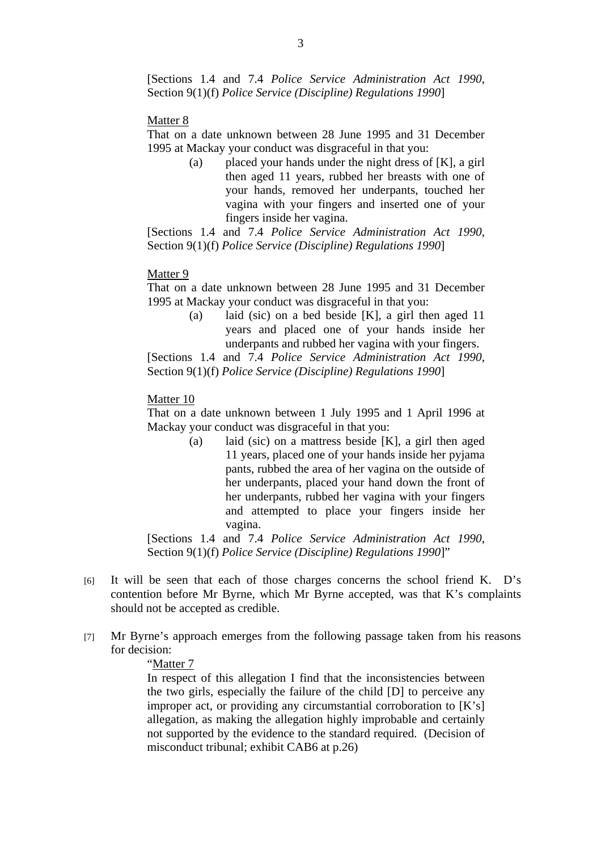[Sections 1.4 and 7.4 *Police Service Administration Act 1990*, Section 9(1)(f) *Police Service (Discipline) Regulations 1990*]

#### Matter 8

That on a date unknown between 28 June 1995 and 31 December 1995 at Mackay your conduct was disgraceful in that you:

> (a) placed your hands under the night dress of [K], a girl then aged 11 years, rubbed her breasts with one of your hands, removed her underpants, touched her vagina with your fingers and inserted one of your fingers inside her vagina.

[Sections 1.4 and 7.4 *Police Service Administration Act 1990*, Section 9(1)(f) *Police Service (Discipline) Regulations 1990*]

#### Matter 9

That on a date unknown between 28 June 1995 and 31 December 1995 at Mackay your conduct was disgraceful in that you:

> (a) laid (sic) on a bed beside [K], a girl then aged 11 years and placed one of your hands inside her underpants and rubbed her vagina with your fingers.

[Sections 1.4 and 7.4 *Police Service Administration Act 1990*, Section 9(1)(f) *Police Service (Discipline) Regulations 1990*]

#### Matter 10

That on a date unknown between 1 July 1995 and 1 April 1996 at Mackay your conduct was disgraceful in that you:

> (a) laid (sic) on a mattress beside [K], a girl then aged 11 years, placed one of your hands inside her pyjama pants, rubbed the area of her vagina on the outside of her underpants, placed your hand down the front of her underpants, rubbed her vagina with your fingers and attempted to place your fingers inside her vagina.

[Sections 1.4 and 7.4 *Police Service Administration Act 1990*, Section 9(1)(f) *Police Service (Discipline) Regulations 1990*]"

- [6] It will be seen that each of those charges concerns the school friend K. D's contention before Mr Byrne, which Mr Byrne accepted, was that K's complaints should not be accepted as credible.
- [7] Mr Byrne's approach emerges from the following passage taken from his reasons for decision:

# "Matter 7

In respect of this allegation I find that the inconsistencies between the two girls, especially the failure of the child [D] to perceive any improper act, or providing any circumstantial corroboration to [K's] allegation, as making the allegation highly improbable and certainly not supported by the evidence to the standard required. (Decision of misconduct tribunal; exhibit CAB6 at p.26)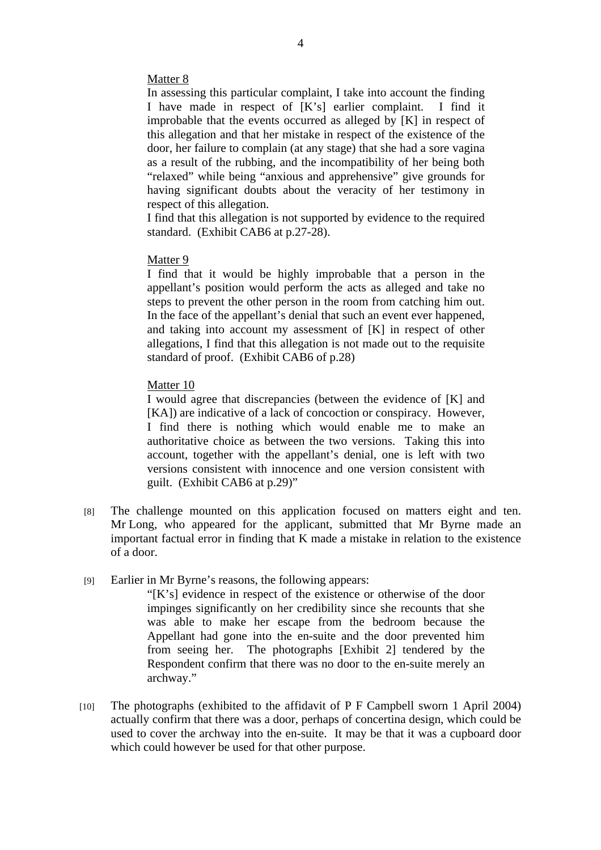# Matter 8

In assessing this particular complaint, I take into account the finding I have made in respect of [K's] earlier complaint. I find it improbable that the events occurred as alleged by [K] in respect of this allegation and that her mistake in respect of the existence of the door, her failure to complain (at any stage) that she had a sore vagina as a result of the rubbing, and the incompatibility of her being both "relaxed" while being "anxious and apprehensive" give grounds for having significant doubts about the veracity of her testimony in respect of this allegation.

I find that this allegation is not supported by evidence to the required standard. (Exhibit CAB6 at p.27-28).

## Matter 9

I find that it would be highly improbable that a person in the appellant's position would perform the acts as alleged and take no steps to prevent the other person in the room from catching him out. In the face of the appellant's denial that such an event ever happened, and taking into account my assessment of [K] in respect of other allegations, I find that this allegation is not made out to the requisite standard of proof. (Exhibit CAB6 of p.28)

# Matter 10

I would agree that discrepancies (between the evidence of [K] and [KA]) are indicative of a lack of concoction or conspiracy. However, I find there is nothing which would enable me to make an authoritative choice as between the two versions. Taking this into account, together with the appellant's denial, one is left with two versions consistent with innocence and one version consistent with guilt. (Exhibit CAB6 at p.29)"

- [8] The challenge mounted on this application focused on matters eight and ten. Mr Long, who appeared for the applicant, submitted that Mr Byrne made an important factual error in finding that K made a mistake in relation to the existence of a door.
- [9] Earlier in Mr Byrne's reasons, the following appears:

"[K's] evidence in respect of the existence or otherwise of the door impinges significantly on her credibility since she recounts that she was able to make her escape from the bedroom because the Appellant had gone into the en-suite and the door prevented him from seeing her. The photographs [Exhibit 2] tendered by the Respondent confirm that there was no door to the en-suite merely an archway."

[10] The photographs (exhibited to the affidavit of P F Campbell sworn 1 April 2004) actually confirm that there was a door, perhaps of concertina design, which could be used to cover the archway into the en-suite. It may be that it was a cupboard door which could however be used for that other purpose.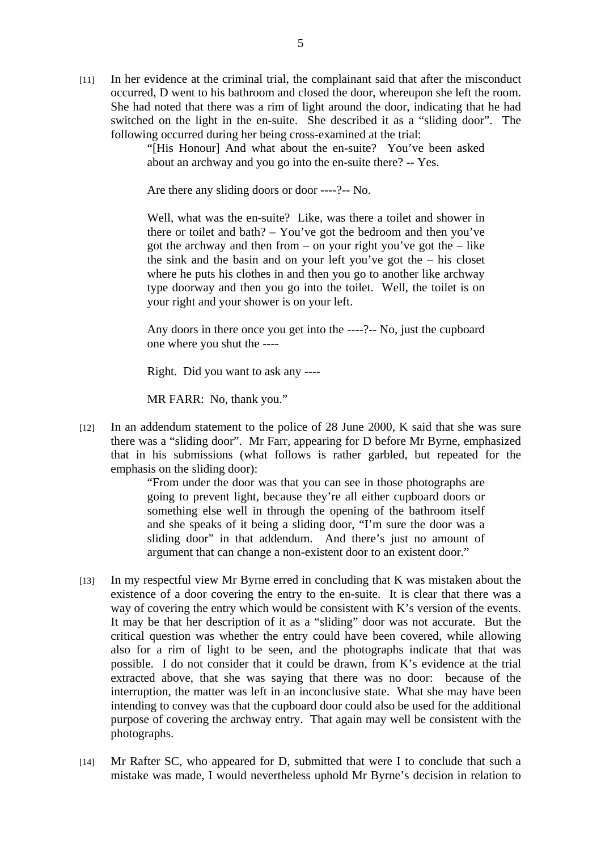[11] In her evidence at the criminal trial, the complainant said that after the misconduct occurred, D went to his bathroom and closed the door, whereupon she left the room. She had noted that there was a rim of light around the door, indicating that he had switched on the light in the en-suite. She described it as a "sliding door". The following occurred during her being cross-examined at the trial:

> "[His Honour] And what about the en-suite? You've been asked about an archway and you go into the en-suite there? -- Yes.

Are there any sliding doors or door ----?-- No.

Well, what was the en-suite? Like, was there a toilet and shower in there or toilet and bath? – You've got the bedroom and then you've got the archway and then from – on your right you've got the – like the sink and the basin and on your left you've got the – his closet where he puts his clothes in and then you go to another like archway type doorway and then you go into the toilet. Well, the toilet is on your right and your shower is on your left.

Any doors in there once you get into the ----?-- No, just the cupboard one where you shut the ----

Right. Did you want to ask any ----

MR FARR: No, thank you."

[12] In an addendum statement to the police of 28 June 2000, K said that she was sure there was a "sliding door". Mr Farr, appearing for D before Mr Byrne, emphasized that in his submissions (what follows is rather garbled, but repeated for the emphasis on the sliding door):

> "From under the door was that you can see in those photographs are going to prevent light, because they're all either cupboard doors or something else well in through the opening of the bathroom itself and she speaks of it being a sliding door, "I'm sure the door was a sliding door" in that addendum. And there's just no amount of argument that can change a non-existent door to an existent door."

- [13] In my respectful view Mr Byrne erred in concluding that K was mistaken about the existence of a door covering the entry to the en-suite. It is clear that there was a way of covering the entry which would be consistent with K's version of the events. It may be that her description of it as a "sliding" door was not accurate. But the critical question was whether the entry could have been covered, while allowing also for a rim of light to be seen, and the photographs indicate that that was possible. I do not consider that it could be drawn, from K's evidence at the trial extracted above, that she was saying that there was no door: because of the interruption, the matter was left in an inconclusive state. What she may have been intending to convey was that the cupboard door could also be used for the additional purpose of covering the archway entry. That again may well be consistent with the photographs.
- [14] Mr Rafter SC, who appeared for D, submitted that were I to conclude that such a mistake was made, I would nevertheless uphold Mr Byrne's decision in relation to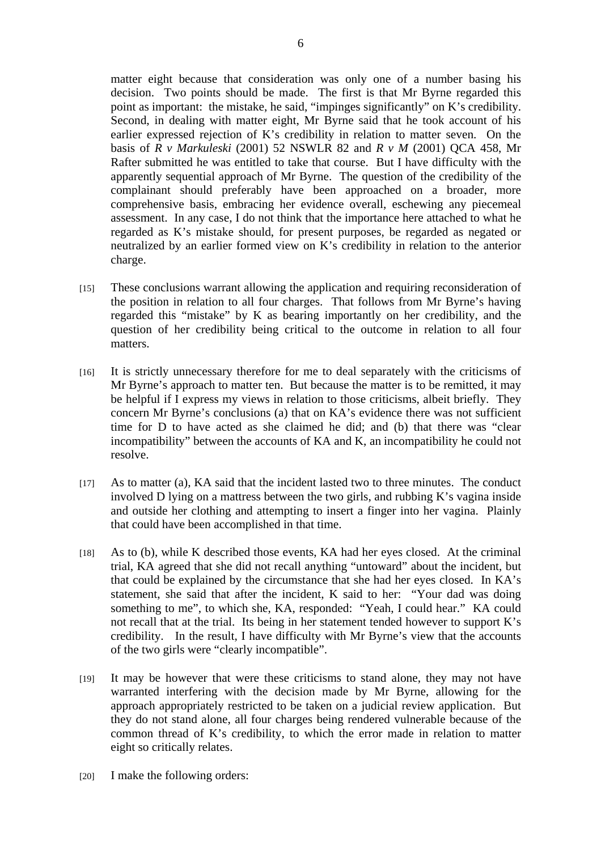matter eight because that consideration was only one of a number basing his decision. Two points should be made. The first is that Mr Byrne regarded this point as important: the mistake, he said, "impinges significantly" on K's credibility. Second, in dealing with matter eight, Mr Byrne said that he took account of his earlier expressed rejection of K's credibility in relation to matter seven. On the basis of *R v Markuleski* (2001) 52 NSWLR 82 and *R v M* (2001) QCA 458, Mr Rafter submitted he was entitled to take that course. But I have difficulty with the apparently sequential approach of Mr Byrne. The question of the credibility of the complainant should preferably have been approached on a broader, more comprehensive basis, embracing her evidence overall, eschewing any piecemeal assessment. In any case, I do not think that the importance here attached to what he regarded as K's mistake should, for present purposes, be regarded as negated or neutralized by an earlier formed view on K's credibility in relation to the anterior charge.

- [15] These conclusions warrant allowing the application and requiring reconsideration of the position in relation to all four charges. That follows from Mr Byrne's having regarded this "mistake" by K as bearing importantly on her credibility, and the question of her credibility being critical to the outcome in relation to all four matters.
- [16] It is strictly unnecessary therefore for me to deal separately with the criticisms of Mr Byrne's approach to matter ten. But because the matter is to be remitted, it may be helpful if I express my views in relation to those criticisms, albeit briefly. They concern Mr Byrne's conclusions (a) that on KA's evidence there was not sufficient time for D to have acted as she claimed he did; and (b) that there was "clear incompatibility" between the accounts of KA and K, an incompatibility he could not resolve.
- [17] As to matter (a), KA said that the incident lasted two to three minutes. The conduct involved D lying on a mattress between the two girls, and rubbing K's vagina inside and outside her clothing and attempting to insert a finger into her vagina. Plainly that could have been accomplished in that time.
- [18] As to (b), while K described those events, KA had her eyes closed. At the criminal trial, KA agreed that she did not recall anything "untoward" about the incident, but that could be explained by the circumstance that she had her eyes closed. In KA's statement, she said that after the incident, K said to her: "Your dad was doing something to me", to which she, KA, responded: "Yeah, I could hear." KA could not recall that at the trial. Its being in her statement tended however to support K's credibility. In the result, I have difficulty with Mr Byrne's view that the accounts of the two girls were "clearly incompatible".
- [19] It may be however that were these criticisms to stand alone, they may not have warranted interfering with the decision made by Mr Byrne, allowing for the approach appropriately restricted to be taken on a judicial review application. But they do not stand alone, all four charges being rendered vulnerable because of the common thread of K's credibility, to which the error made in relation to matter eight so critically relates.
- [20] I make the following orders: